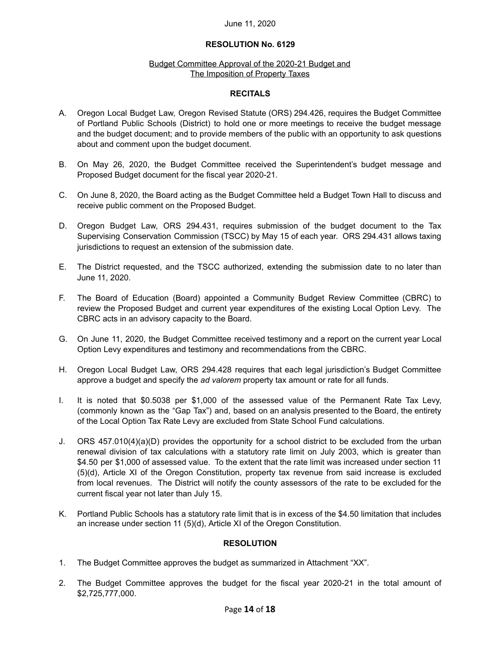#### June 11, 2020

### **RESOLUTION No. 6129**

#### Budget Committee Approval of the 2020-21 Budget and The Imposition of Property Taxes

#### **RECITALS**

- A. Oregon Local Budget Law, Oregon Revised Statute (ORS) 294.426, requires the Budget Committee of Portland Public Schools (District) to hold one or more meetings to receive the budget message and the budget document; and to provide members of the public with an opportunity to ask questions about and comment upon the budget document.
- B. On May 26, 2020, the Budget Committee received the Superintendent's budget message and Proposed Budget document for the fiscal year 2020-21.
- C. On June 8, 2020, the Board acting as the Budget Committee held a Budget Town Hall to discuss and receive public comment on the Proposed Budget.
- D. Oregon Budget Law, ORS 294.431, requires submission of the budget document to the Tax Supervising Conservation Commission (TSCC) by May 15 of each year. ORS 294.431 allows taxing jurisdictions to request an extension of the submission date.
- E. The District requested, and the TSCC authorized, extending the submission date to no later than June 11, 2020.
- F. The Board of Education (Board) appointed a Community Budget Review Committee (CBRC) to review the Proposed Budget and current year expenditures of the existing Local Option Levy. The CBRC acts in an advisory capacity to the Board.
- G. On June 11, 2020, the Budget Committee received testimony and a report on the current year Local Option Levy expenditures and testimony and recommendations from the CBRC.
- H. Oregon Local Budget Law, ORS 294.428 requires that each legal jurisdiction's Budget Committee approve a budget and specify the *ad valorem* property tax amount or rate for all funds.
- I. It is noted that \$0.5038 per \$1,000 of the assessed value of the Permanent Rate Tax Levy, (commonly known as the "Gap Tax") and, based on an analysis presented to the Board, the entirety of the Local Option Tax Rate Levy are excluded from State School Fund calculations.
- J. ORS 457.010(4)(a)(D) provides the opportunity for a school district to be excluded from the urban renewal division of tax calculations with a statutory rate limit on July 2003, which is greater than \$4.50 per \$1,000 of assessed value. To the extent that the rate limit was increased under section 11 (5)(d), Article XI of the Oregon Constitution, property tax revenue from said increase is excluded from local revenues. The District will notify the county assessors of the rate to be excluded for the current fiscal year not later than July 15.
- K. Portland Public Schools has a statutory rate limit that is in excess of the \$4.50 limitation that includes an increase under section 11 (5)(d), Article XI of the Oregon Constitution.

## **RESOLUTION**

- 1. The Budget Committee approves the budget as summarized in Attachment "XX".
- 2. The Budget Committee approves the budget for the fiscal year 2020-21 in the total amount of \$2,725,777,000.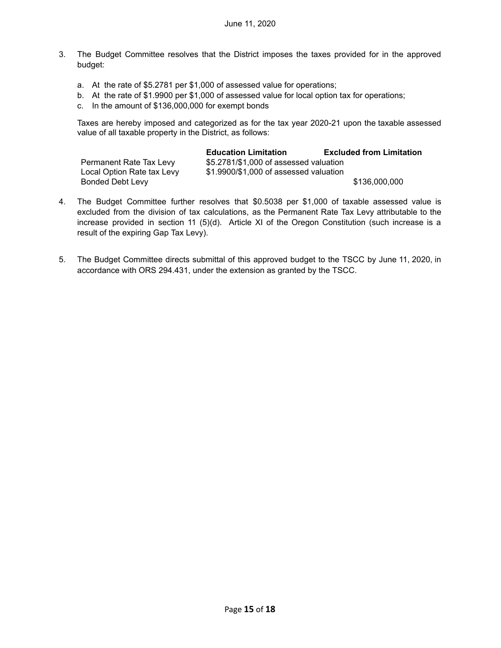- 3. The Budget Committee resolves that the District imposes the taxes provided for in the approved budget:
	- a. At the rate of \$5.2781 per \$1,000 of assessed value for operations;
	- b. At the rate of \$1.9900 per \$1,000 of assessed value for local option tax for operations;
	- c. In the amount of \$136,000,000 for exempt bonds

Taxes are hereby imposed and categorized as for the tax year 2020-21 upon the taxable assessed value of all taxable property in the District, as follows:

|                            | <b>Education Limitation</b>            | <b>Excluded from Limitation</b> |
|----------------------------|----------------------------------------|---------------------------------|
| Permanent Rate Tax Levy    | \$5.2781/\$1,000 of assessed valuation |                                 |
| Local Option Rate tax Levy | \$1.9900/\$1,000 of assessed valuation |                                 |
| Bonded Debt Levy           |                                        | \$136,000,000                   |

- 4. The Budget Committee further resolves that \$0.5038 per \$1,000 of taxable assessed value is excluded from the division of tax calculations, as the Permanent Rate Tax Levy attributable to the increase provided in section 11 (5)(d). Article XI of the Oregon Constitution (such increase is a result of the expiring Gap Tax Levy).
- 5. The Budget Committee directs submittal of this approved budget to the TSCC by June 11, 2020, in accordance with ORS 294.431, under the extension as granted by the TSCC.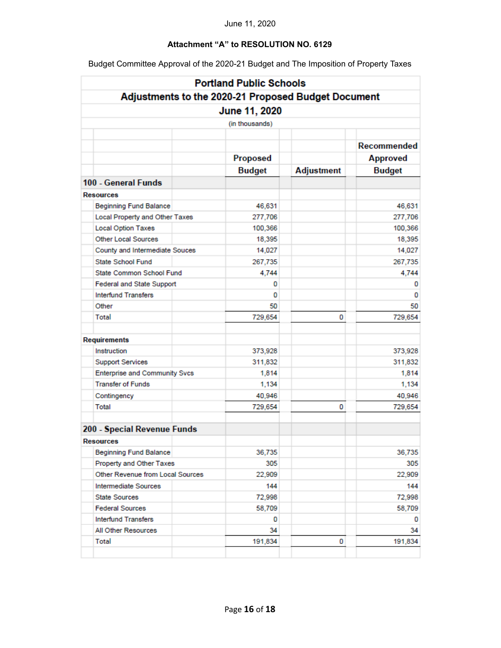# **Attachment "A" to RESOLUTION NO. 6129**

| <b>Portland Public Schools</b>                                                         |                 |                   |                 |  |  |  |  |  |                    |
|----------------------------------------------------------------------------------------|-----------------|-------------------|-----------------|--|--|--|--|--|--------------------|
| Adjustments to the 2020-21 Proposed Budget Document<br>June 11, 2020<br>(in thousands) |                 |                   |                 |  |  |  |  |  |                    |
|                                                                                        |                 |                   |                 |  |  |  |  |  |                    |
|                                                                                        |                 |                   |                 |  |  |  |  |  | <b>Recommended</b> |
|                                                                                        | <b>Proposed</b> |                   | <b>Approved</b> |  |  |  |  |  |                    |
|                                                                                        | <b>Budget</b>   | <b>Adjustment</b> | <b>Budget</b>   |  |  |  |  |  |                    |
| 100 - General Funds                                                                    |                 |                   |                 |  |  |  |  |  |                    |
| <b>Resources</b>                                                                       |                 |                   |                 |  |  |  |  |  |                    |
| <b>Beginning Fund Balance</b>                                                          | 46,631          |                   | 46,631          |  |  |  |  |  |                    |
| Local Property and Other Taxes                                                         | 277,706         |                   | 277,706         |  |  |  |  |  |                    |
| <b>Local Option Taxes</b>                                                              | 100,366         |                   | 100,366         |  |  |  |  |  |                    |
| <b>Other Local Sources</b>                                                             | 18,395          |                   | 18,395          |  |  |  |  |  |                    |
| County and Intermediate Souces                                                         | 14,027          |                   | 14,027          |  |  |  |  |  |                    |
| <b>State School Fund</b>                                                               | 267,735         |                   | 267,735         |  |  |  |  |  |                    |
| State Common School Fund                                                               | 4,744           |                   | 4,744           |  |  |  |  |  |                    |
| Federal and State Support                                                              | 0               |                   | 0               |  |  |  |  |  |                    |
| <b>Interfund Transfers</b>                                                             | 0               |                   | 0               |  |  |  |  |  |                    |
| Other                                                                                  | 50              |                   | 50              |  |  |  |  |  |                    |
| Total                                                                                  | 729,654         | 0                 | 729,654         |  |  |  |  |  |                    |
| Requirements                                                                           |                 |                   |                 |  |  |  |  |  |                    |
| Instruction                                                                            | 373,928         |                   | 373,928         |  |  |  |  |  |                    |
| <b>Support Services</b>                                                                | 311,832         |                   | 311,832         |  |  |  |  |  |                    |
| <b>Enterprise and Community Svcs</b>                                                   | 1,814           |                   | 1,814           |  |  |  |  |  |                    |
| <b>Transfer of Funds</b>                                                               | 1,134           |                   | 1,134           |  |  |  |  |  |                    |
| Contingency                                                                            | 40,946          |                   | 40,946          |  |  |  |  |  |                    |
| Total                                                                                  | 729,654         | 0                 | 729,654         |  |  |  |  |  |                    |
| 200 - Special Revenue Funds                                                            |                 |                   |                 |  |  |  |  |  |                    |
| <b>Resources</b>                                                                       |                 |                   |                 |  |  |  |  |  |                    |
| <b>Beginning Fund Balance</b>                                                          | 36,735          |                   | 36,735          |  |  |  |  |  |                    |
| Property and Other Taxes                                                               | 305             |                   | 305             |  |  |  |  |  |                    |
| Other Revenue from Local Sources                                                       | 22,909          |                   | 22,909          |  |  |  |  |  |                    |
| Intermediate Sources                                                                   | 144             |                   | 144             |  |  |  |  |  |                    |
| <b>State Sources</b>                                                                   | 72,998          |                   | 72,998          |  |  |  |  |  |                    |
| <b>Federal Sources</b>                                                                 | 58,709          |                   | 58,709          |  |  |  |  |  |                    |
| <b>Interfund Transfers</b>                                                             | 0               |                   | 0               |  |  |  |  |  |                    |
| All Other Resources                                                                    | 34              |                   | 34              |  |  |  |  |  |                    |
| <b>Total</b>                                                                           | 191,834         | 0                 | 191,834         |  |  |  |  |  |                    |

Budget Committee Approval of the 2020-21 Budget and The Imposition of Property Taxes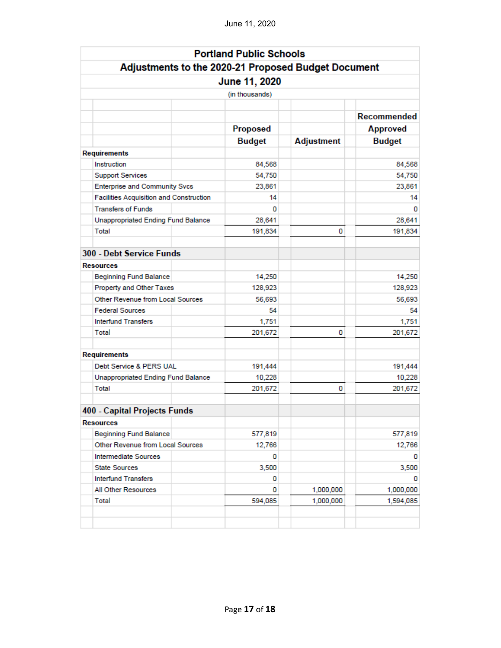|                                                                      | <b>Portland Public Schools</b> |                   |                    |  |  |
|----------------------------------------------------------------------|--------------------------------|-------------------|--------------------|--|--|
|                                                                      |                                |                   |                    |  |  |
| Adjustments to the 2020-21 Proposed Budget Document<br>June 11, 2020 |                                |                   |                    |  |  |
|                                                                      | (in thousands)                 |                   |                    |  |  |
|                                                                      |                                |                   |                    |  |  |
|                                                                      |                                |                   | <b>Recommended</b> |  |  |
|                                                                      | <b>Proposed</b>                |                   | <b>Approved</b>    |  |  |
|                                                                      | <b>Budget</b>                  | <b>Adjustment</b> | <b>Budget</b>      |  |  |
| <b>Requirements</b>                                                  |                                |                   |                    |  |  |
| Instruction                                                          | 84.568                         |                   | 84,568             |  |  |
| <b>Support Services</b>                                              | 54,750                         |                   | 54,750             |  |  |
| <b>Enterprise and Community Svcs</b>                                 | 23,861                         |                   | 23,861             |  |  |
| Facilities Acquisition and Construction                              | 14                             |                   | 14                 |  |  |
| <b>Transfers of Funds</b>                                            | 0                              |                   | o                  |  |  |
| <b>Unappropriated Ending Fund Balance</b>                            | 28,641                         |                   | 28,641             |  |  |
| Total                                                                | 191,834                        | 0                 | 191,834            |  |  |
| 300 - Debt Service Funds                                             |                                |                   |                    |  |  |
| <b>Resources</b>                                                     |                                |                   |                    |  |  |
| <b>Beginning Fund Balance</b>                                        | 14,250                         |                   | 14,250             |  |  |
| Property and Other Taxes                                             | 128,923                        |                   | 128,923            |  |  |
| Other Revenue from Local Sources                                     | 56,693                         |                   | 56,693             |  |  |
| <b>Federal Sources</b>                                               | 54                             |                   | 54                 |  |  |
| <b>Interfund Transfers</b>                                           | 1,751                          |                   | 1,751              |  |  |
| Total                                                                | 201,672                        | 0                 | 201,672            |  |  |
| <b>Requirements</b>                                                  |                                |                   |                    |  |  |
| Debt Service & PERS UAL                                              | 191,444                        |                   | 191,444            |  |  |
| Unappropriated Ending Fund Balance                                   | 10,228                         |                   | 10,228             |  |  |
| Total                                                                | 201,672                        | 0                 | 201,672            |  |  |
| 400 - Capital Projects Funds                                         |                                |                   |                    |  |  |
| <b>Resources</b>                                                     |                                |                   |                    |  |  |
| <b>Beginning Fund Balance</b>                                        | 577,819                        |                   | 577,819            |  |  |
| Other Revenue from Local Sources                                     | 12,766                         |                   | 12,766             |  |  |
| <b>Intermediate Sources</b>                                          | 0                              |                   | 0                  |  |  |
| <b>State Sources</b>                                                 | 3,500                          |                   | 3,500              |  |  |
| <b>Interfund Transfers</b>                                           | 0                              |                   | 0                  |  |  |
| All Other Resources                                                  | 0                              | 1,000,000         | 1,000,000          |  |  |
| Total                                                                | 594,085                        | 1,000,000         | 1,594,085          |  |  |
|                                                                      |                                |                   |                    |  |  |